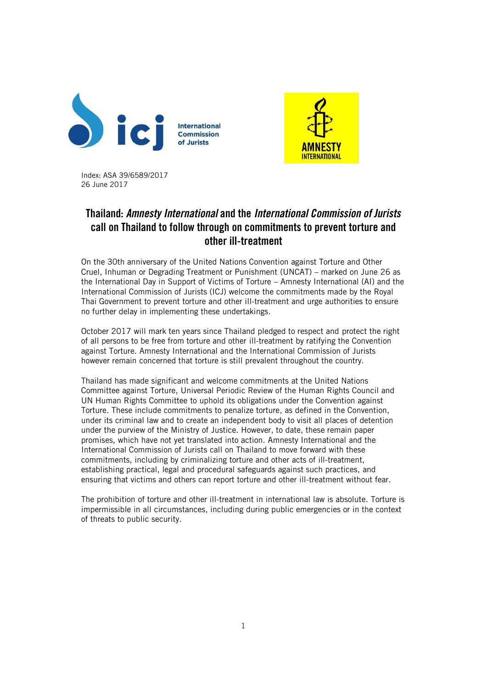



Index: ASA 39/6589/2017 26 June 2017

## Thailand: *Amnesty International* and the *International Commission of Jurists* call on Thailand to follow through on commitments to prevent torture and other ill-treatment

On the 30th anniversary of the United Nations Convention against Torture and Other Cruel, Inhuman or Degrading Treatment or Punishment (UNCAT) – marked on June 26 as the International Day in Support of Victims of Torture – Amnesty International (AI) and the International Commission of Jurists (ICJ) welcome the commitments made by the Royal Thai Government to prevent torture and other ill-treatment and urge authorities to ensure no further delay in implementing these undertakings.

October 2017 will mark ten years since Thailand pledged to respect and protect the right of all persons to be free from torture and other ill-treatment by ratifying the Convention against Torture. Amnesty International and the International Commission of Jurists however remain concerned that torture is still prevalent throughout the country.

Thailand has made significant and welcome commitments at the United Nations Committee against Torture, Universal Periodic Review of the Human Rights Council and UN Human Rights Committee to uphold its obligations under the Convention against Torture. These include commitments to penalize torture, as defined in the Convention, under its criminal law and to create an independent body to visit all places of detention under the purview of the Ministry of Justice. However, to date, these remain paper promises, which have not yet translated into action. Amnesty International and the International Commission of Jurists call on Thailand to move forward with these commitments, including by criminalizing torture and other acts of ill-treatment, establishing practical, legal and procedural safeguards against such practices, and ensuring that victims and others can report torture and other ill-treatment without fear.

The prohibition of torture and other ill-treatment in international law is absolute. Torture is impermissible in all circumstances, including during public emergencies or in the context of threats to public security.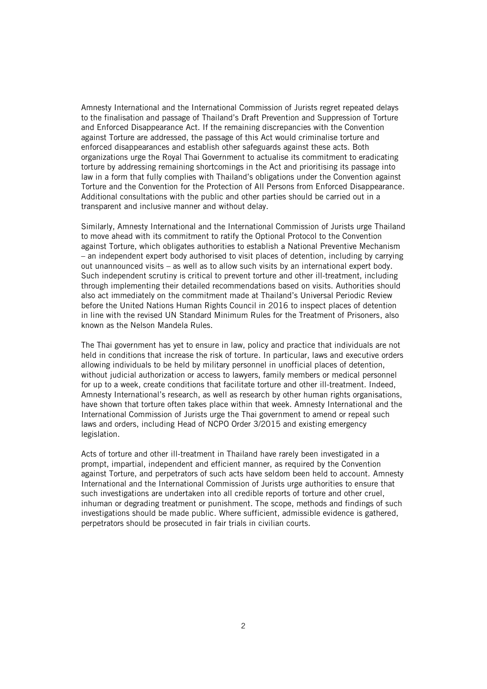Amnesty International and the International Commission of Jurists regret repeated delays to the finalisation and passage of Thailand's Draft Prevention and Suppression of Torture and Enforced Disappearance Act. If the remaining discrepancies with the Convention against Torture are addressed, the passage of this Act would criminalise torture and enforced disappearances and establish other safeguards against these acts. Both organizations urge the Royal Thai Government to actualise its commitment to eradicating torture by addressing remaining shortcomings in the Act and prioritising its passage into law in a form that fully complies with Thailand's obligations under the Convention against Torture and the Convention for the Protection of All Persons from Enforced Disappearance. Additional consultations with the public and other parties should be carried out in a transparent and inclusive manner and without delay.

Similarly, Amnesty International and the International Commission of Jurists urge Thailand to move ahead with its commitment to ratify the Optional Protocol to the Convention against Torture, which obligates authorities to establish a National Preventive Mechanism – an independent expert body authorised to visit places of detention, including by carrying out unannounced visits – as well as to allow such visits by an international expert body. Such independent scrutiny is critical to prevent torture and other ill-treatment, including through implementing their detailed recommendations based on visits. Authorities should also act immediately on the commitment made at Thailand's Universal Periodic Review before the United Nations Human Rights Council in 2016 to inspect places of detention in line with the revised UN Standard Minimum Rules for the Treatment of Prisoners, also known as the Nelson Mandela Rules.

The Thai government has yet to ensure in law, policy and practice that individuals are not held in conditions that increase the risk of torture. In particular, laws and executive orders allowing individuals to be held by military personnel in unofficial places of detention, without judicial authorization or access to lawyers, family members or medical personnel for up to a week, create conditions that facilitate torture and other ill-treatment. Indeed, Amnesty International's research, as well as research by other human rights organisations, have shown that torture often takes place within that week. Amnesty International and the International Commission of Jurists urge the Thai government to amend or repeal such laws and orders, including Head of NCPO Order 3/2015 and existing emergency legislation.

Acts of torture and other ill-treatment in Thailand have rarely been investigated in a prompt, impartial, independent and efficient manner, as required by the Convention against Torture, and perpetrators of such acts have seldom been held to account. Amnesty International and the International Commission of Jurists urge authorities to ensure that such investigations are undertaken into all credible reports of torture and other cruel, inhuman or degrading treatment or punishment. The scope, methods and findings of such investigations should be made public. Where sufficient, admissible evidence is gathered, perpetrators should be prosecuted in fair trials in civilian courts.